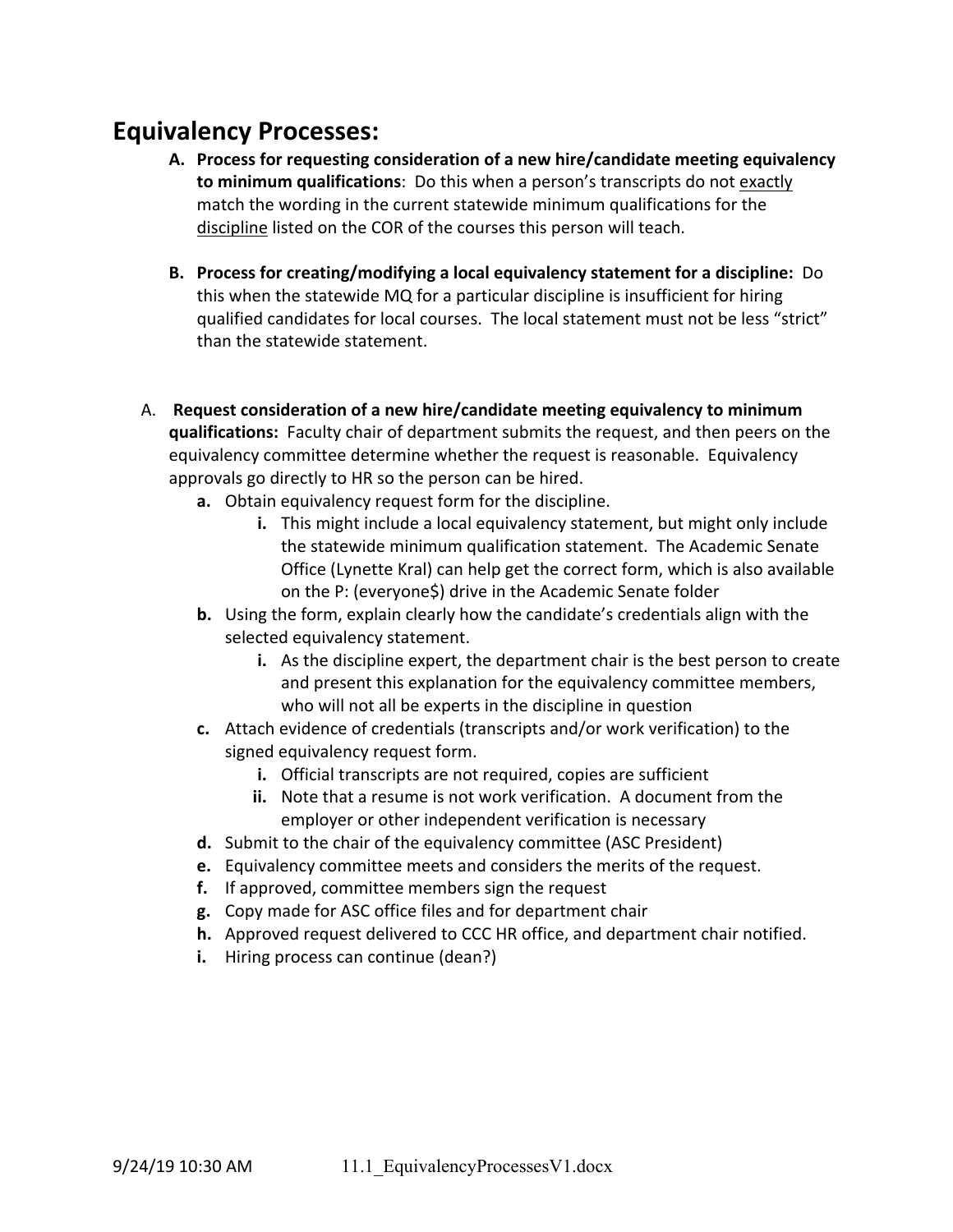## **Equivalency Processes:**

- **A. Process for requesting consideration of a new hire/candidate meeting equivalency to minimum qualifications**: Do this when a person's transcripts do not exactly match the wording in the current statewide minimum qualifications for the discipline listed on the COR of the courses this person will teach.
- **B. Process for creating/modifying a local equivalency statement for a discipline:** Do this when the statewide MQ for a particular discipline is insufficient for hiring qualified candidates for local courses. The local statement must not be less "strict" than the statewide statement.
- A. **Request consideration of a new hire/candidate meeting equivalency to minimum qualifications:** Faculty chair of department submits the request, and then peers on the equivalency committee determine whether the request is reasonable. Equivalency approvals go directly to HR so the person can be hired.
	- **a.** Obtain equivalency request form for the discipline.
		- **i.** This might include a local equivalency statement, but might only include the statewide minimum qualification statement. The Academic Senate Office (Lynette Kral) can help get the correct form, which is also available on the P: (everyone\$) drive in the Academic Senate folder
	- **b.** Using the form, explain clearly how the candidate's credentials align with the selected equivalency statement.
		- **i.** As the discipline expert, the department chair is the best person to create and present this explanation for the equivalency committee members, who will not all be experts in the discipline in question
	- **c.** Attach evidence of credentials (transcripts and/or work verification) to the signed equivalency request form.
		- **i.** Official transcripts are not required, copies are sufficient
		- **ii.** Note that a resume is not work verification. A document from the employer or other independent verification is necessary
	- **d.** Submit to the chair of the equivalency committee (ASC President)
	- **e.** Equivalency committee meets and considers the merits of the request.
	- **f.** If approved, committee members sign the request
	- **g.** Copy made for ASC office files and for department chair
	- **h.** Approved request delivered to CCC HR office, and department chair notified.
	- **i.** Hiring process can continue (dean?)